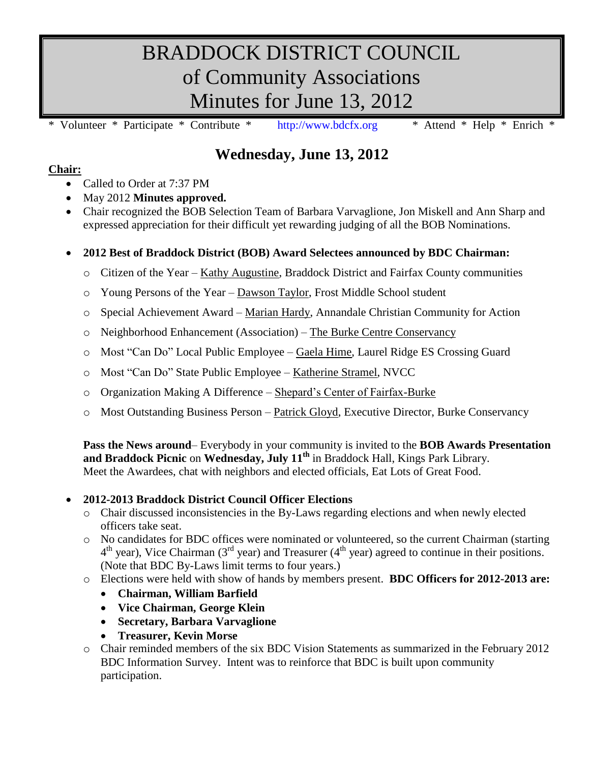# BRADDOCK DISTRICT COUNCIL of Community Associations Minutes for June 13, 2012

\* Volunteer \* Participate \* Contribute \* [http://www.bdcfx.org](http://www.bdcfx.org/) \* Attend \* Help \* Enrich \*

# **Wednesday, June 13, 2012**

## **Chair:**

- Called to Order at 7:37 PM
- May 2012 **Minutes approved.**
- Chair recognized the BOB Selection Team of Barbara Varvaglione, Jon Miskell and Ann Sharp and expressed appreciation for their difficult yet rewarding judging of all the BOB Nominations.

# **2012 Best of Braddock District (BOB) Award Selectees announced by BDC Chairman:**

- o Citizen of the Year Kathy Augustine, Braddock District and Fairfax County communities
- o Young Persons of the Year Dawson Taylor, Frost Middle School student
- o Special Achievement Award Marian Hardy, Annandale Christian Community for Action
- o Neighborhood Enhancement (Association) The Burke Centre Conservancy
- o Most "Can Do" Local Public Employee Gaela Hime, Laurel Ridge ES Crossing Guard
- o Most "Can Do" State Public Employee Katherine Stramel, NVCC
- o Organization Making A Difference Shepard's Center of Fairfax-Burke
- o Most Outstanding Business Person Patrick Gloyd, Executive Director, Burke Conservancy

**Pass the News around**– Everybody in your community is invited to the **BOB Awards Presentation and Braddock Picnic** on **Wednesday, July 11th** in Braddock Hall, Kings Park Library. Meet the Awardees, chat with neighbors and elected officials, Eat Lots of Great Food.

## **2012-2013 Braddock District Council Officer Elections**

- o Chair discussed inconsistencies in the By-Laws regarding elections and when newly elected officers take seat.
- o No candidates for BDC offices were nominated or volunteered, so the current Chairman (starting  $4<sup>th</sup>$  year), Vice Chairman (3<sup>rd</sup> year) and Treasurer ( $4<sup>th</sup>$  year) agreed to continue in their positions. (Note that BDC By-Laws limit terms to four years.)
- o Elections were held with show of hands by members present. **BDC Officers for 2012-2013 are:**
	- **Chairman, William Barfield**
	- **Vice Chairman, George Klein**
	- **Secretary, Barbara Varvaglione**
	- **Treasurer, Kevin Morse**
- o Chair reminded members of the six BDC Vision Statements as summarized in the February 2012 BDC Information Survey. Intent was to reinforce that BDC is built upon community participation.